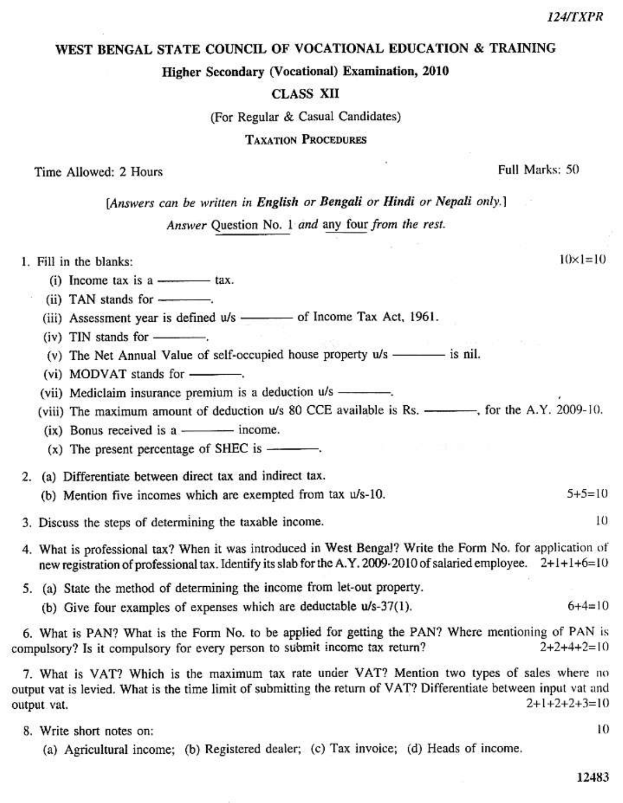12483

**124/TXPR** 

WEST BENGAL STATE COUNCIL OF VOCATIONAL EDUCATION & TRAINING

Higher Secondary (Vocational) Examination, 2010

**CLASS XII** 

(For Regular & Casual Candidates)

**TAXATION PROCEDURES** 

Time Allowed: 2 Hours

[Answers can be written in English or Bengali or Hindi or Nepali only.]

Answer Question No. 1 and any four from the rest.

1. Fill in the blanks:

- $(i)$  Income tax is a tax.
- (ii) TAN stands for ----------
- (iii) Assessment year is defined  $u/s$  of Income Tax Act, 1961.
- $(iv)$  TIN stands for  $\_\_\_\_\_\$
- 
- (vi) MODVAT stands for ---------
- (vii) Mediclaim insurance premium is a deduction u/s ----------
- (viii) The maximum amount of deduction u/s 80 CCE available is Rs. for the A.Y. 2009-10.
- (ix) Bonus received is a ------------ income.
- $(x)$  The present percentage of SHEC is  $\frac{1}{x}$ .
- 2. (a) Differentiate between direct tax and indirect tax.
	- (b) Mention five incomes which are exempted from tax u/s-10.  $5+5=10$
- 3. Discuss the steps of determining the taxable income.
- 4. What is professional tax? When it was introduced in West Bengal? Write the Form No. for application of new registration of professional tax. Identify its slab for the A.Y. 2009-2010 of salaried employee. 2+1+1+6=10
- 5. (a) State the method of determining the income from let-out property.
	- (b) Give four examples of expenses which are deductable u/s-37(1).

6. What is PAN? What is the Form No. to be applied for getting the PAN? Where mentioning of PAN is compulsory? Is it compulsory for every person to submit income tax return?  $2+2+4+2=10$ 

7. What is VAT? Which is the maximum tax rate under VAT? Mention two types of sales where no output vat is levied. What is the time limit of submitting the return of VAT? Differentiate between input vat and  $2+1+2+2+3=10$ output vat.

- 8. Write short notes on:
	- (a) Agricultural income; (b) Registered dealer; (c) Tax invoice; (d) Heads of income.

 $10 \times 1 = 10$ 

Full Marks: 50

10

 $6 + 4 = 10$